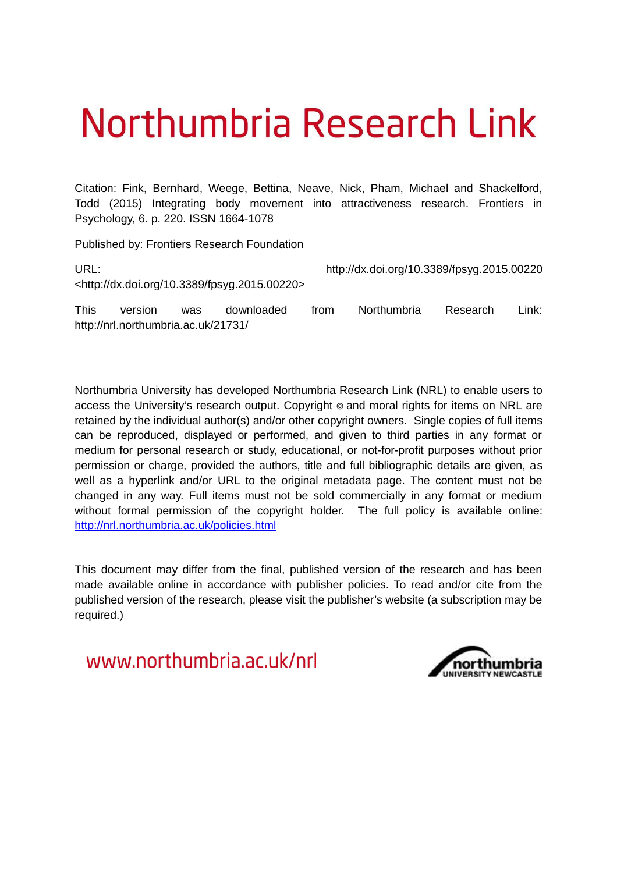# Northumbria Research Link

Citation: Fink, Bernhard, Weege, Bettina, Neave, Nick, Pham, Michael and Shackelford, Todd (2015) Integrating body movement into attractiveness research. Frontiers in Psychology, 6. p. 220. ISSN 1664-1078

Published by: Frontiers Research Foundation

| URL:        |                                     |            |                                                              |      | http://dx.doi.org/10.3389/fpsyg.2015.00220 |          |       |  |
|-------------|-------------------------------------|------------|--------------------------------------------------------------|------|--------------------------------------------|----------|-------|--|
|             |                                     |            | <http: 10.3389="" dx.doi.org="" fpsyg.2015.00220=""></http:> |      |                                            |          |       |  |
| <b>This</b> | version                             | <b>was</b> | downloaded                                                   | trom | <b>Northumbria</b>                         | Research | Link: |  |
|             | http://nrl.northumbria.ac.uk/21731/ |            |                                                              |      |                                            |          |       |  |

Northumbria University has developed Northumbria Research Link (NRL) to enable users to access the University's research output. Copyright  $\circ$  and moral rights for items on NRL are retained by the individual author(s) and/or other copyright owners. Single copies of full items can be reproduced, displayed or performed, and given to third parties in any format or medium for personal research or study, educational, or not-for-profit purposes without prior permission or charge, provided the authors, title and full bibliographic details are given, as well as a hyperlink and/or URL to the original metadata page. The content must not be changed in any way. Full items must not be sold commercially in any format or medium without formal permission of the copyright holder. The full policy is available online: <http://nrl.northumbria.ac.uk/policies.html>

This document may differ from the final, published version of the research and has been made available online in accordance with publisher policies. To read and/or cite from the published version of the research, please visit the publisher's website (a subscription may be required.)

www.northumbria.ac.uk/nrl

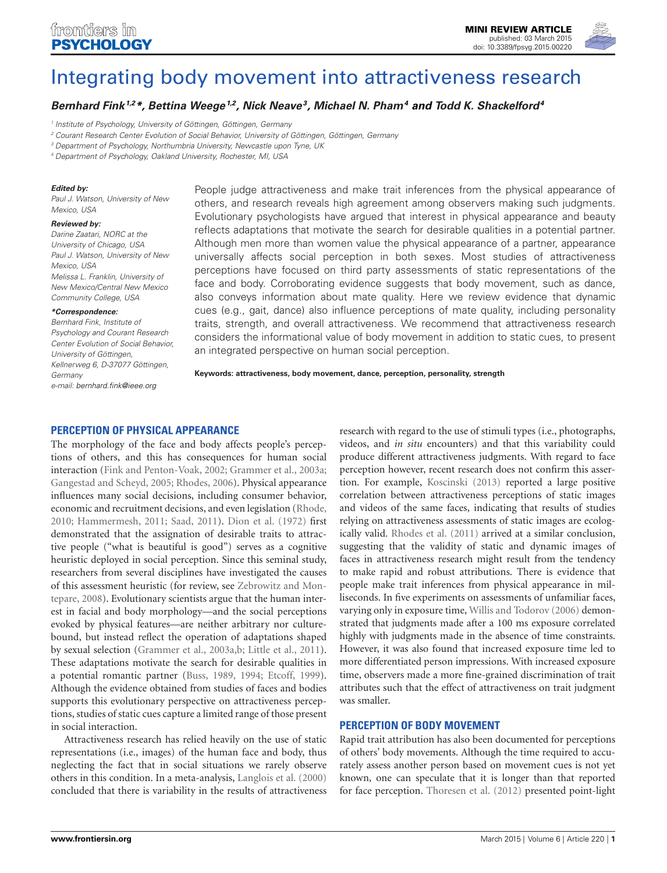

# [Integrating body movement into attractiveness research](http://www.frontiersin.org/Journal/10.3389/fpsyg.2015.00220/abstract)

*[Bernhard Fink](http://community.frontiersin.org/people/u/11781)<sup>1,2</sup>\*, [Bettina Weege](http://community.frontiersin.org/people/u/202390)<sup>1,2</sup>, [Nick Neave](http://community.frontiersin.org/people/u/76136)<sup>3</sup>, Michael N. Pham<sup>4</sup> and [Todd K. Shackelford](http://community.frontiersin.org/people/u/3165)<sup>4</sup>* 

<sup>2</sup> Courant Research Center Evolution of Social Behavior, University of Göttingen, Göttingen, Germany

<sup>3</sup> Department of Psychology, Northumbria University, Newcastle upon Tyne, UK

<sup>4</sup> Department of Psychology, Oakland University, Rochester, MI, USA

#### *Edited by:*

Paul J. Watson, University of New Mexico, USA

#### *Reviewed by:*

Darine Zaatari, NORC at the University of Chicago, USA Paul J. Watson, University of New Mexico, USA Melissa L. Franklin, University of New Mexico/Central New Mexico Community College, USA

#### *\*Correspondence:*

Bernhard Fink, Institute of Psychology and Courant Research Center Evolution of Social Behavior, University of Göttingen, Kellnerweg 6, D-37077 Göttingen, Germany e-mail: [bernhard.fink@ieee.org](mailto:bernhard.fink@ieee.org)

People judge attractiveness and make trait inferences from the physical appearance of others, and research reveals high agreement among observers making such judgments. Evolutionary psychologists have argued that interest in physical appearance and beauty reflects adaptations that motivate the search for desirable qualities in a potential partner. Although men more than women value the physical appearance of a partner, appearance universally affects social perception in both sexes. Most studies of attractiveness perceptions have focused on third party assessments of static representations of the face and body. Corroborating evidence suggests that body movement, such as dance, also conveys information about mate quality. Here we review evidence that dynamic cues (e.g., gait, dance) also influence perceptions of mate quality, including personality traits, strength, and overall attractiveness. We recommend that attractiveness research considers the informational value of body movement in addition to static cues, to present an integrated perspective on human social perception.

**Keywords: attractiveness, body movement, dance, perception, personality, strength**

# **PERCEPTION OF PHYSICAL APPEARANCE**

The morphology of the face and body affects people's perceptions of others, and this has consequences for human social interaction [\(Fink and Penton-Voak, 2002;](#page-4-0) [Grammer et al., 2003a;](#page-4-1) [Gangestad and Scheyd, 2005;](#page-4-2) [Rhodes, 2006\)](#page-4-3). Physical appearance influences many social decisions, including consumer behavior, economic and recruitment decisions, and even legislation [\(Rhode,](#page-4-4) [2010;](#page-4-4) [Hammermesh, 2011;](#page-4-5) [Saad, 2011\)](#page-4-6). [Dion et al.](#page-3-0) [\(1972\)](#page-3-0) first demonstrated that the assignation of desirable traits to attractive people ("what is beautiful is good") serves as a cognitive heuristic deployed in social perception. Since this seminal study, researchers from several disciplines have investigated the causes of this assessment heuristic (for review, see [Zebrowitz and Mon](#page-5-0)[tepare, 2008\)](#page-5-0). Evolutionary scientists argue that the human interest in facial and body morphology—and the social perceptions evoked by physical features—are neither arbitrary nor culturebound, but instead reflect the operation of adaptations shaped by sexual selection [\(Grammer et al., 2003a](#page-4-1)[,b;](#page-4-7) [Little et al., 2011\)](#page-4-8). These adaptations motivate the search for desirable qualities in a potential romantic partner [\(Buss, 1989,](#page-3-1) [1994;](#page-3-2) [Etcoff, 1999\)](#page-3-3). Although the evidence obtained from studies of faces and bodies supports this evolutionary perspective on attractiveness perceptions, studies of static cues capture a limited range of those present in social interaction.

Attractiveness research has relied heavily on the use of static representations (i.e., images) of the human face and body, thus neglecting the fact that in social situations we rarely observe others in this condition. In a meta-analysis, [Langlois et al.](#page-4-9) [\(2000\)](#page-4-9) concluded that there is variability in the results of attractiveness

research with regard to the use of stimuli types (i.e., photographs, videos, and *in situ* encounters) and that this variability could produce different attractiveness judgments. With regard to face perception however, recent research does not confirm this assertion. For example, [Koscinski](#page-4-10) [\(2013\)](#page-4-10) reported a large positive correlation between attractiveness perceptions of static images and videos of the same faces, indicating that results of studies relying on attractiveness assessments of static images are ecologically valid. [Rhodes et al.](#page-4-11) [\(2011\)](#page-4-11) arrived at a similar conclusion, suggesting that the validity of static and dynamic images of faces in attractiveness research might result from the tendency to make rapid and robust attributions. There is evidence that people make trait inferences from physical appearance in milliseconds. In five experiments on assessments of unfamiliar faces, varying only in exposure time, [Willis and Todorov](#page-5-1) [\(2006\)](#page-5-1) demonstrated that judgments made after a 100 ms exposure correlated highly with judgments made in the absence of time constraints. However, it was also found that increased exposure time led to more differentiated person impressions. With increased exposure time, observers made a more fine-grained discrimination of trait attributes such that the effect of attractiveness on trait judgment was smaller.

#### <span id="page-1-0"></span>**PERCEPTION OF BODY MOVEMENT**

Rapid trait attribution has also been documented for perceptions of others' body movements. Although the time required to accurately assess another person based on movement cues is not yet known, one can speculate that it is longer than that reported for face perception. [Thoresen et al.](#page-4-12) [\(2012\)](#page-4-12) presented point-light

<sup>1</sup> Institute of Psychology, University of Göttingen, Göttingen, Germany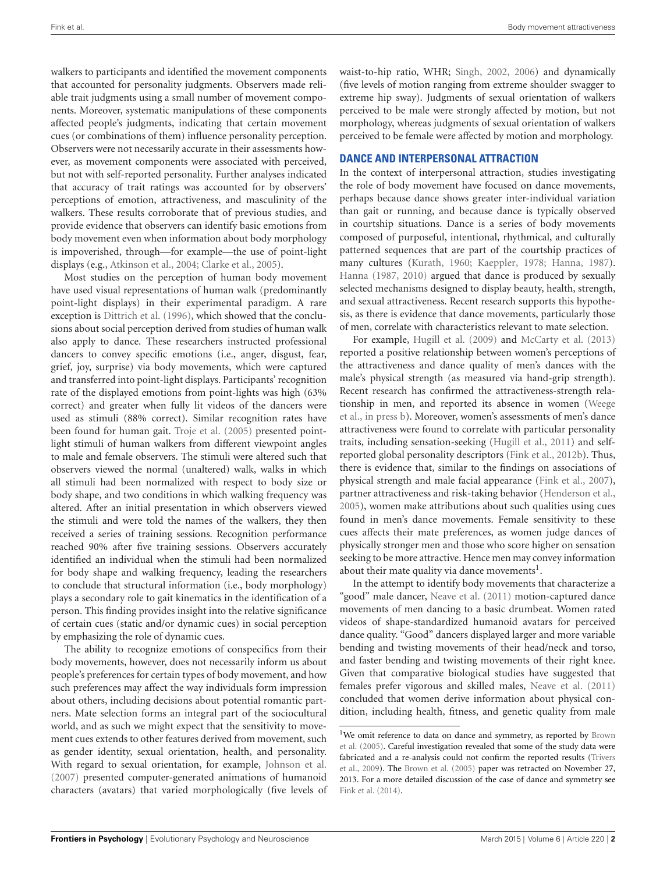walkers to participants and identified the movement components that accounted for personality judgments. Observers made reliable trait judgments using a small number of movement components. Moreover, systematic manipulations of these components affected people's judgments, indicating that certain movement cues (or combinations of them) influence personality perception. Observers were not necessarily accurate in their assessments however, as movement components were associated with perceived, but not with self-reported personality. Further analyses indicated that accuracy of trait ratings was accounted for by observers' perceptions of emotion, attractiveness, and masculinity of the walkers. These results corroborate that of previous studies, and provide evidence that observers can identify basic emotions from body movement even when information about body morphology is impoverished, through—for example—the use of point-light displays (e.g., [Atkinson et al., 2004;](#page-3-4) [Clarke et al., 2005\)](#page-3-5).

Most studies on the perception of human body movement have used visual representations of human walk (predominantly point-light displays) in their experimental paradigm. A rare exception is [Dittrich et al.](#page-3-6) [\(1996\)](#page-3-6), which showed that the conclusions about social perception derived from studies of human walk also apply to dance. These researchers instructed professional dancers to convey specific emotions (i.e., anger, disgust, fear, grief, joy, surprise) via body movements, which were captured and transferred into point-light displays. Participants' recognition rate of the displayed emotions from point-lights was high (63% correct) and greater when fully lit videos of the dancers were used as stimuli (88% correct). Similar recognition rates have been found for human gait. [Troje et al. \(2005\)](#page-4-13) presented pointlight stimuli of human walkers from different viewpoint angles to male and female observers. The stimuli were altered such that observers viewed the normal (unaltered) walk, walks in which all stimuli had been normalized with respect to body size or body shape, and two conditions in which walking frequency was altered. After an initial presentation in which observers viewed the stimuli and were told the names of the walkers, they then received a series of training sessions. Recognition performance reached 90% after five training sessions. Observers accurately identified an individual when the stimuli had been normalized for body shape and walking frequency, leading the researchers to conclude that structural information (i.e., body morphology) plays a secondary role to gait kinematics in the identification of a person. This finding provides insight into the relative significance of certain cues (static and/or dynamic cues) in social perception by emphasizing the role of dynamic cues.

The ability to recognize emotions of conspecifics from their body movements, however, does not necessarily inform us about people's preferences for certain types of body movement, and how such preferences may affect the way individuals form impression about others, including decisions about potential romantic partners. Mate selection forms an integral part of the sociocultural world, and as such we might expect that the sensitivity to movement cues extends to other features derived from movement, such as gender identity, sexual orientation, health, and personality. With regard to sexual orientation, for example, [Johnson et al.](#page-4-14) [\(2007\)](#page-4-14) presented computer-generated animations of humanoid characters (avatars) that varied morphologically (five levels of

waist-to-hip ratio, WHR; [Singh, 2002,](#page-4-15) [2006\)](#page-4-16) and dynamically (five levels of motion ranging from extreme shoulder swagger to extreme hip sway). Judgments of sexual orientation of walkers perceived to be male were strongly affected by motion, but not morphology, whereas judgments of sexual orientation of walkers perceived to be female were affected by motion and morphology.

### **DANCE AND INTERPERSONAL ATTRACTION**

In the context of interpersonal attraction, studies investigating the role of body movement have focused on dance movements, perhaps because dance shows greater inter-individual variation than gait or running, and because dance is typically observed in courtship situations. Dance is a series of body movements composed of purposeful, intentional, rhythmical, and culturally patterned sequences that are part of the courtship practices of many cultures [\(Kurath, 1960;](#page-4-17) [Kaeppler, 1978;](#page-4-18) [Hanna, 1987\)](#page-4-19). [Hanna](#page-4-19) [\(1987,](#page-4-19) [2010\)](#page-4-20) argued that dance is produced by sexually selected mechanisms designed to display beauty, health, strength, and sexual attractiveness. Recent research supports this hypothesis, as there is evidence that dance movements, particularly those of men, correlate with characteristics relevant to mate selection.

For example, [Hugill et al.](#page-4-21) [\(2009\)](#page-4-21) and [McCarty et al.](#page-4-22) [\(2013\)](#page-4-22) reported a positive relationship between women's perceptions of the attractiveness and dance quality of men's dances with the male's physical strength (as measured via hand-grip strength). Recent research has confirmed the attractiveness-strength relationship in men, and reported its absence in women [\(Weege](#page-4-23) [et al., in press b\)](#page-4-23). Moreover, women's assessments of men's dance attractiveness were found to correlate with particular personality traits, including sensation-seeking [\(Hugill et al., 2011\)](#page-4-24) and selfreported global personality descriptors [\(Fink et al., 2012b\)](#page-4-25). Thus, there is evidence that, similar to the findings on associations of physical strength and male facial appearance [\(Fink et al., 2007\)](#page-4-26), partner attractiveness and risk-taking behavior [\(Henderson et al.,](#page-4-27) [2005\)](#page-4-27), women make attributions about such qualities using cues found in men's dance movements. Female sensitivity to these cues affects their mate preferences, as women judge dances of physically stronger men and those who score higher on sensation seeking to be more attractive. Hence men may convey information about their mate quality via dance movements $<sup>1</sup>$  $<sup>1</sup>$  $<sup>1</sup>$ .</sup>

In the attempt to identify body movements that characterize a "good" male dancer, [Neave et al.](#page-4-28) [\(2011\)](#page-4-28) motion-captured dance movements of men dancing to a basic drumbeat. Women rated videos of shape-standardized humanoid avatars for perceived dance quality. "Good" dancers displayed larger and more variable bending and twisting movements of their head/neck and torso, and faster bending and twisting movements of their right knee. Given that comparative biological studies have suggested that females prefer vigorous and skilled males, [Neave et al.](#page-4-28) [\(2011\)](#page-4-28) concluded that women derive information about physical condition, including health, fitness, and genetic quality from male

<sup>&</sup>lt;sup>1</sup>We omit reference to data on dance and symmetry, as reported by [Brown](#page-3-7) [et al.](#page-3-7) [\(2005\)](#page-3-7). Careful investigation revealed that some of the study data were fabricated and a re-analysis could not confirm the reported results [\(Trivers](#page-4-29) [et al., 2009\)](#page-4-29). The [Brown et al. \(2005\)](#page-3-7) paper was retracted on November 27, 2013. For a more detailed discussion of the case of dance and symmetry see [Fink et al. \(2014\)](#page-4-30).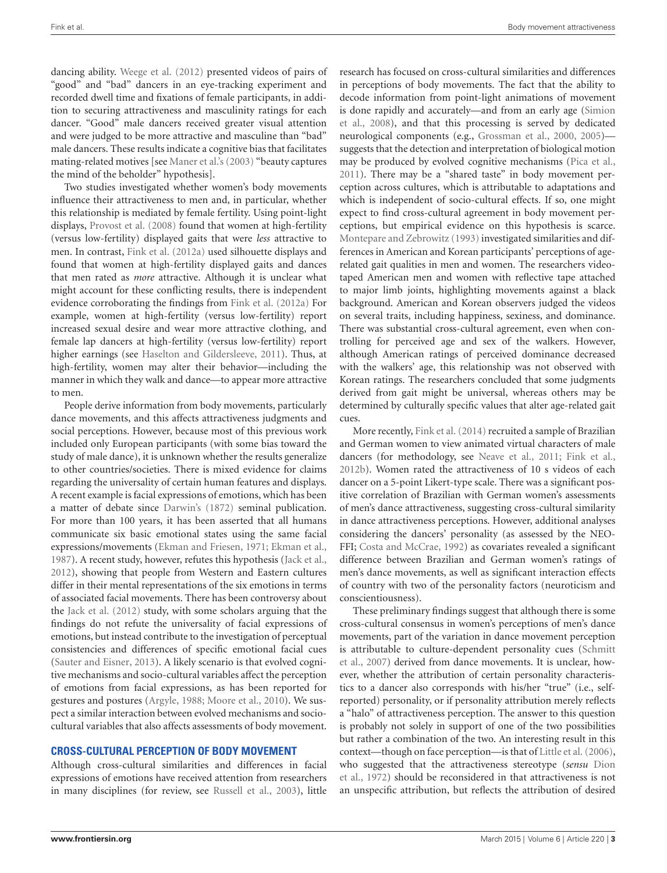dancing ability. [Weege et al.](#page-5-2) [\(2012\)](#page-5-2) presented videos of pairs of "good" and "bad" dancers in an eye-tracking experiment and recorded dwell time and fixations of female participants, in addition to securing attractiveness and masculinity ratings for each dancer. "Good" male dancers received greater visual attention and were judged to be more attractive and masculine than "bad" male dancers. These results indicate a cognitive bias that facilitates mating-related motives [see [Maner et al.'s](#page-4-31) [\(2003\)](#page-4-31) "beauty captures the mind of the beholder" hypothesis].

Two studies investigated whether women's body movements influence their attractiveness to men and, in particular, whether this relationship is mediated by female fertility. Using point-light displays, [Provost et al.](#page-4-32) [\(2008\)](#page-4-32) found that women at high-fertility (versus low-fertility) displayed gaits that were *less* attractive to men. In contrast, [Fink et al. \(2012a\)](#page-3-8) used silhouette displays and found that women at high-fertility displayed gaits and dances that men rated as *more* attractive. Although it is unclear what might account for these conflicting results, there is independent evidence corroborating the findings from [Fink et al.](#page-3-8) [\(2012a\)](#page-3-8) For example, women at high-fertility (versus low-fertility) report increased sexual desire and wear more attractive clothing, and female lap dancers at high-fertility (versus low-fertility) report higher earnings (see [Haselton and Gildersleeve, 2011\)](#page-4-33). Thus, at high-fertility, women may alter their behavior—including the manner in which they walk and dance—to appear more attractive to men.

People derive information from body movements, particularly dance movements, and this affects attractiveness judgments and social perceptions. However, because most of this previous work included only European participants (with some bias toward the study of male dance), it is unknown whether the results generalize to other countries/societies. There is mixed evidence for claims regarding the universality of certain human features and displays. A recent example is facial expressions of emotions, which has been a matter of debate since [Darwin's](#page-3-9) [\(1872\)](#page-3-9) seminal publication. For more than 100 years, it has been asserted that all humans communicate six basic emotional states using the same facial expressions/movements [\(Ekman and Friesen, 1971;](#page-3-10) [Ekman et al.,](#page-3-11) [1987\)](#page-3-11). A recent study, however, refutes this hypothesis [\(Jack et al.,](#page-4-34) [2012\)](#page-4-34), showing that people from Western and Eastern cultures differ in their mental representations of the six emotions in terms of associated facial movements. There has been controversy about the [Jack et al.](#page-4-34) [\(2012\)](#page-4-34) study, with some scholars arguing that the findings do not refute the universality of facial expressions of emotions, but instead contribute to the investigation of perceptual consistencies and differences of specific emotional facial cues [\(Sauter and Eisner, 2013\)](#page-4-35). A likely scenario is that evolved cognitive mechanisms and socio-cultural variables affect the perception of emotions from facial expressions, as has been reported for gestures and postures [\(Argyle, 1988;](#page-3-12) [Moore et al., 2010\)](#page-4-36). We suspect a similar interaction between evolved mechanisms and sociocultural variables that also affects assessments of body movement.

# **CROSS-CULTURAL PERCEPTION OF BODY MOVEMENT**

Although cross-cultural similarities and differences in facial expressions of emotions have received attention from researchers in many disciplines (for review, see [Russell et al., 2003\)](#page-4-37), little

research has focused on cross-cultural similarities and differences in perceptions of body movements. The fact that the ability to decode information from point-light animations of movement is done rapidly and accurately—and from an early age [\(Simion](#page-4-38) [et al., 2008\)](#page-4-38), and that this processing is served by dedicated neurological components (e.g., [Grossman et al., 2000,](#page-4-39) [2005\)](#page-4-40) suggests that the detection and interpretation of biological motion may be produced by evolved cognitive mechanisms [\(Pica et al.,](#page-4-41) [2011\)](#page-4-41). There may be a "shared taste" in body movement perception across cultures, which is attributable to adaptations and which is independent of socio-cultural effects. If so, one might expect to find cross-cultural agreement in body movement perceptions, but empirical evidence on this hypothesis is scarce. [Montepare and Zebrowitz](#page-4-42) [\(1993\)](#page-4-42) investigated similarities and differences in American and Korean participants' perceptions of agerelated gait qualities in men and women. The researchers videotaped American men and women with reflective tape attached to major limb joints, highlighting movements against a black background. American and Korean observers judged the videos on several traits, including happiness, sexiness, and dominance. There was substantial cross-cultural agreement, even when controlling for perceived age and sex of the walkers. However, although American ratings of perceived dominance decreased with the walkers' age, this relationship was not observed with Korean ratings. The researchers concluded that some judgments derived from gait might be universal, whereas others may be determined by culturally specific values that alter age-related gait cues.

<span id="page-3-15"></span><span id="page-3-14"></span><span id="page-3-12"></span><span id="page-3-7"></span><span id="page-3-4"></span><span id="page-3-1"></span>More recently, [Fink et al. \(2014\)](#page-4-30) recruited a sample of Brazilian and German women to view animated virtual characters of male dancers (for methodology, see [Neave et al., 2011;](#page-4-28) [Fink et al.,](#page-4-25) [2012b\)](#page-4-25). Women rated the attractiveness of 10 s videos of each dancer on a 5-point Likert-type scale. There was a significant positive correlation of Brazilian with German women's assessments of men's dance attractiveness, suggesting cross-cultural similarity in dance attractiveness perceptions. However, additional analyses considering the dancers' personality (as assessed by the NEO-FFI; [Costa and McCrae, 1992\)](#page-3-13) as covariates revealed a significant difference between Brazilian and German women's ratings of men's dance movements, as well as significant interaction effects of country with two of the personality factors (neuroticism and conscientiousness).

<span id="page-3-13"></span><span id="page-3-11"></span><span id="page-3-10"></span><span id="page-3-9"></span><span id="page-3-8"></span><span id="page-3-6"></span><span id="page-3-5"></span><span id="page-3-3"></span><span id="page-3-2"></span><span id="page-3-0"></span>These preliminary findings suggest that although there is some cross-cultural consensus in women's perceptions of men's dance movements, part of the variation in dance movement perception is attributable to culture-dependent personality cues [\(Schmitt](#page-4-43) [et al., 2007\)](#page-4-43) derived from dance movements. It is unclear, however, whether the attribution of certain personality characteristics to a dancer also corresponds with his/her "true" (i.e., selfreported) personality, or if personality attribution merely reflects a "halo" of attractiveness perception. The answer to this question is probably not solely in support of one of the two possibilities but rather a combination of the two. An interesting result in this context—though on face perception—is that of [Little et al.](#page-4-44) [\(2006\)](#page-4-44), who suggested that the attractiveness stereotype (*sensu* [Dion](#page-3-0) [et al., 1972\)](#page-3-0) should be reconsidered in that attractiveness is not an unspecific attribution, but reflects the attribution of desired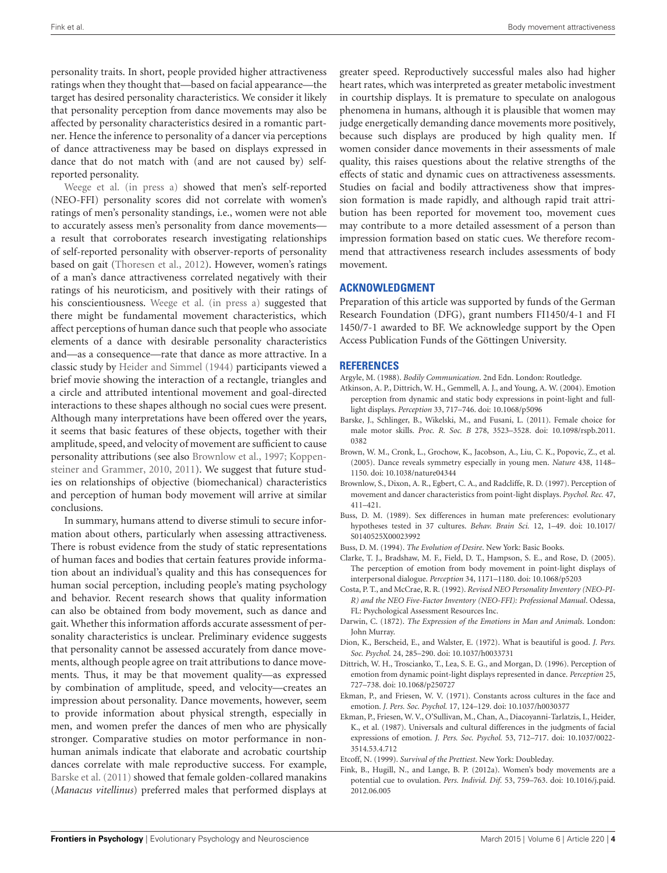<span id="page-4-26"></span><span id="page-4-25"></span>personality traits. In short, people provided higher attractiveness ratings when they thought that—based on facial appearance—the target has desired personality characteristics. We consider it likely that personality perception from dance movements may also be affected by personality characteristics desired in a romantic partner. Hence the inference to personality of a dancer via perceptions of dance attractiveness may be based on displays expressed in dance that do not match with (and are not caused by) selfreported personality.

<span id="page-4-40"></span><span id="page-4-39"></span><span id="page-4-30"></span><span id="page-4-7"></span><span id="page-4-2"></span><span id="page-4-1"></span><span id="page-4-0"></span>[Weege et al.](#page-4-45) [\(in press a\)](#page-4-45) showed that men's self-reported (NEO-FFI) personality scores did not correlate with women's ratings of men's personality standings, i.e., women were not able to accurately assess men's personality from dance movements a result that corroborates research investigating relationships of self-reported personality with observer-reports of personality based on gait [\(Thoresen et al., 2012\)](#page-4-12). However, women's ratings of a man's dance attractiveness correlated negatively with their ratings of his neuroticism, and positively with their ratings of his conscientiousness. [Weege et al.](#page-4-45) [\(in press a\)](#page-4-45) suggested that there might be fundamental movement characteristics, which affect perceptions of human dance such that people who associate elements of a dance with desirable personality characteristics and—as a consequence—rate that dance as more attractive. In a classic study by [Heider and Simmel](#page-4-46) [\(1944\)](#page-4-46) participants viewed a brief movie showing the interaction of a rectangle, triangles and a circle and attributed intentional movement and goal-directed interactions to these shapes although no social cues were present. Although many interpretations have been offered over the years, it seems that basic features of these objects, together with their amplitude, speed, and velocity of movement are sufficient to cause personality attributions (see also [Brownlow et al., 1997;](#page-3-14) [Koppen](#page-4-47)[steiner and Grammer, 2010,](#page-4-47) [2011\)](#page-4-48). We suggest that future studies on relationships of objective (biomechanical) characteristics and perception of human body movement will arrive at similar conclusions.

<span id="page-4-48"></span><span id="page-4-47"></span><span id="page-4-46"></span><span id="page-4-34"></span><span id="page-4-33"></span><span id="page-4-27"></span><span id="page-4-24"></span><span id="page-4-21"></span><span id="page-4-20"></span><span id="page-4-19"></span><span id="page-4-18"></span><span id="page-4-17"></span><span id="page-4-14"></span><span id="page-4-10"></span><span id="page-4-9"></span><span id="page-4-5"></span>In summary, humans attend to diverse stimuli to secure information about others, particularly when assessing attractiveness. There is robust evidence from the study of static representations of human faces and bodies that certain features provide information about an individual's quality and this has consequences for human social perception, including people's mating psychology and behavior. Recent research shows that quality information can also be obtained from body movement, such as dance and gait. Whether this information affords accurate assessment of personality characteristics is unclear. Preliminary evidence suggests that personality cannot be assessed accurately from dance movements, although people agree on trait attributions to dance movements. Thus, it may be that movement quality—as expressed by combination of amplitude, speed, and velocity—creates an impression about personality. Dance movements, however, seem to provide information about physical strength, especially in men, and women prefer the dances of men who are physically stronger. Comparative studies on motor performance in nonhuman animals indicate that elaborate and acrobatic courtship dances correlate with male reproductive success. For example, [Barske et al.](#page-3-15) [\(2011\)](#page-3-15) showed that female golden-collared manakins (*Manacus vitellinus*) preferred males that performed displays at <span id="page-4-44"></span><span id="page-4-31"></span><span id="page-4-22"></span><span id="page-4-8"></span>greater speed. Reproductively successful males also had higher heart rates, which was interpreted as greater metabolic investment in courtship displays. It is premature to speculate on analogous phenomena in humans, although it is plausible that women may judge energetically demanding dance movements more positively, because such displays are produced by high quality men. If women consider dance movements in their assessments of male quality, this raises questions about the relative strengths of the effects of static and dynamic cues on attractiveness assessments. Studies on facial and bodily attractiveness show that impression formation is made rapidly, and although rapid trait attribution has been reported for movement too, movement cues may contribute to a more detailed assessment of a person than impression formation based on static cues. We therefore recommend that attractiveness research includes assessments of body movement.

## <span id="page-4-42"></span><span id="page-4-41"></span><span id="page-4-36"></span><span id="page-4-28"></span>**ACKNOWLEDGMENT**

<span id="page-4-32"></span>Preparation of this article was supported by funds of the German Research Foundation (DFG), grant numbers FI1450/4-1 and FI 1450/7-1 awarded to BF. We acknowledge support by the Open Access Publication Funds of the Göttingen University.

# <span id="page-4-4"></span>**REFERENCES**

- <span id="page-4-3"></span>Argyle, M. (1988). *Bodily Communication*. 2nd Edn. London: Routledge.
- <span id="page-4-11"></span>Atkinson, A. P., Dittrich, W. H., Gemmell, A. J., and Young, A. W. (2004). Emotion perception from dynamic and static body expressions in point-light and fulllight displays. *Perception* 33, 717–746. doi: 10.1068/p5096
- <span id="page-4-37"></span>Barske, J., Schlinger, B., Wikelski, M., and Fusani, L. (2011). Female choice for male motor skills. *Proc. R. Soc. B* 278, 3523–3528. doi: 10.1098/rspb.2011. 0382
- <span id="page-4-6"></span>Brown, W. M., Cronk, L., Grochow, K., Jacobson, A., Liu, C. K., Popovic, Z., et al. (2005). Dance reveals symmetry especially in young men. *Nature* 438, 1148– 1150. doi: 10.1038/nature04344
- <span id="page-4-35"></span>Brownlow, S., Dixon, A. R., Egbert, C. A., and Radcliffe, R. D. (1997). Perception of movement and dancer characteristics from point-light displays. *Psychol. Rec.* 47, 411–421.
- <span id="page-4-43"></span>Buss, D. M. (1989). Sex differences in human mate preferences: evolutionary hypotheses tested in 37 cultures. *Behav. Brain Sci.* 12, 1–49. doi: 10.1017/ S0140525X00023992
- Buss, D. M. (1994). *The Evolution of Desire*. New York: Basic Books.
- <span id="page-4-38"></span>Clarke, T. J., Bradshaw, M. F., Field, D. T., Hampson, S. E., and Rose, D. (2005). The perception of emotion from body movement in point-light displays of interpersonal dialogue. *Perception* 34, 1171–1180. doi: 10.1068/p5203
- <span id="page-4-15"></span>Costa, P. T., and McCrae, R. R. (1992). *Revised NEO Personality Inventory (NEO-PI-R) and the NEO Five-Factor Inventory (NEO-FFI): Professional Manual*. Odessa, FL: Psychological Assessment Resources Inc.
- <span id="page-4-16"></span>Darwin, C. (1872). *The Expression of the Emotions in Man and Animals*. London: John Murray.
- <span id="page-4-12"></span>Dion, K., Berscheid, E., and Walster, E. (1972). What is beautiful is good. *J. Pers. Soc. Psychol.* 24, 285–290. doi: 10.1037/h0033731
- Dittrich, W. H., Troscianko, T., Lea, S. E. G., and Morgan, D. (1996). Perception of emotion from dynamic point-light displays represented in dance. *Perception* 25, 727–738. doi: 10.1068/p250727
- <span id="page-4-29"></span><span id="page-4-13"></span>Ekman, P., and Friesen, W. V. (1971). Constants across cultures in the face and emotion. *J. Pers. Soc. Psychol.* 17, 124–129. doi: 10.1037/h0030377
- <span id="page-4-45"></span>Ekman, P., Friesen, W. V., O'Sullivan, M., Chan, A., Diacoyanni-Tarlatzis, I., Heider, K., et al. (1987). Universals and cultural differences in the judgments of facial expressions of emotion. *J. Pers. Soc. Psychol.* 53, 712–717. doi: 10.1037/0022- 3514.53.4.712

Etcoff, N. (1999). *Survival of the Prettiest*. New York: Doubleday.

<span id="page-4-23"></span>Fink, B., Hugill, N., and Lange, B. P. (2012a). Women's body movements are a potential cue to ovulation. *Pers. Individ. Dif.* 53, 759–763. doi: 10.1016/j.paid. 2012.06.005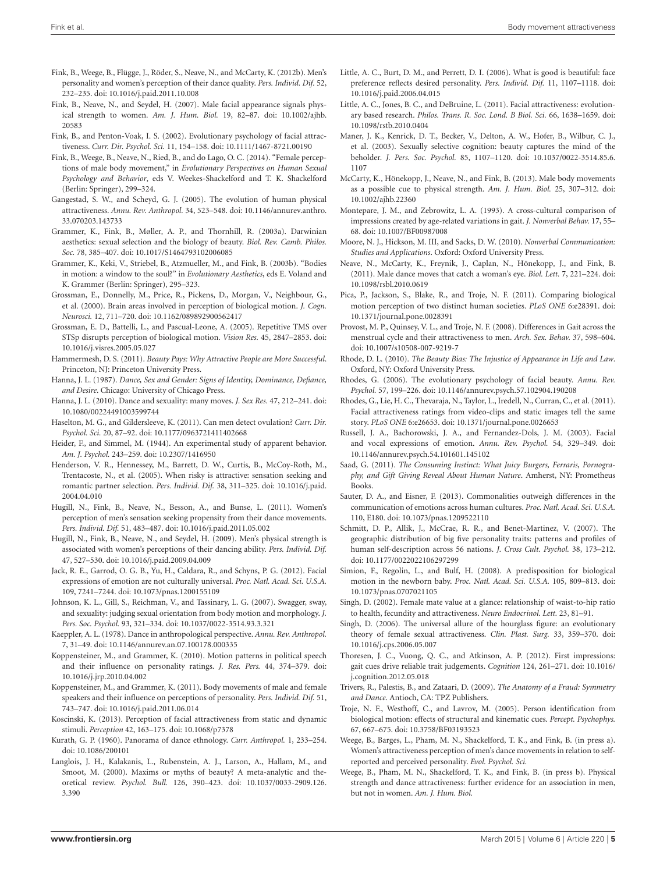- <span id="page-5-2"></span>Fink, B., Weege, B., Flügge, J., Röder, S., Neave, N., and McCarty, K. (2012b). Men's personality and women's perception of their dance quality. *Pers. Individ. Dif.* 52, 232–235. doi: 10.1016/j.paid.2011.10.008
- <span id="page-5-1"></span>Fink, B., Neave, N., and Seydel, H. (2007). Male facial appearance signals physical strength to women. *Am. J. Hum. Biol.* 19, 82–87. doi: 10.1002/ajhb. 20583
- <span id="page-5-0"></span>Fink, B., and Penton-Voak, I. S. (2002). Evolutionary psychology of facial attractiveness. *Curr. Dir. Psychol. Sci.* 11, 154–158. doi: 10.1111/1467-8721.00190
- Fink, B., Weege, B., Neave, N., Ried, B., and do Lago, O. C. (2014). "Female perceptions of male body movement," in *Evolutionary Perspectives on Human Sexual Psychology and Behavior*, eds V. Weekes-Shackelford and T. K. Shackelford (Berlin: Springer), 299–324.
- Gangestad, S. W., and Scheyd, G. J. (2005). The evolution of human physical attractiveness. *Annu. Rev. Anthropol.* 34, 523–548. doi: 10.1146/annurev.anthro. 33.070203.143733
- Grammer, K., Fink, B., Møller, A. P., and Thornhill, R. (2003a). Darwinian aesthetics: sexual selection and the biology of beauty. *Biol. Rev. Camb. Philos. Soc.* 78, 385–407. doi: 10.1017/S1464793102006085
- Grammer, K., Keki, V., Striebel, B., Atzmueller, M., and Fink, B. (2003b). "Bodies in motion: a window to the soul?" in *Evolutionary Aesthetics*, eds E. Voland and K. Grammer (Berlin: Springer), 295–323.
- Grossman, E., Donnelly, M., Price, R., Pickens, D., Morgan, V., Neighbour, G., et al. (2000). Brain areas involved in perception of biological motion. *J. Cogn. Neurosci.* 12, 711–720. doi: 10.1162/089892900562417
- Grossman, E. D., Battelli, L., and Pascual-Leone, A. (2005). Repetitive TMS over STSp disrupts perception of biological motion. *Vision Res.* 45, 2847–2853. doi: 10.1016/j.visres.2005.05.027
- Hammermesh, D. S. (2011). *Beauty Pays: Why Attractive People are More Successful*. Princeton, NJ: Princeton University Press.
- Hanna, J. L. (1987). *Dance, Sex and Gender: Signs of Identity, Dominance, Defiance, and Desire*. Chicago: University of Chicago Press.
- Hanna, J. L. (2010). Dance and sexuality: many moves. *J. Sex Res.* 47, 212–241. doi: 10.1080/00224491003599744
- Haselton, M. G., and Gildersleeve, K. (2011). Can men detect ovulation? *Curr. Dir. Psychol. Sci.* 20, 87–92. doi: 10.1177/0963721411402668
- Heider, F., and Simmel, M. (1944). An experimental study of apparent behavior. *Am. J. Psychol.* 243–259. doi: 10.2307/1416950
- Henderson, V. R., Hennessey, M., Barrett, D. W., Curtis, B., McCoy-Roth, M., Trentacoste, N., et al. (2005). When risky is attractive: sensation seeking and romantic partner selection. *Pers. Individ. Dif.* 38, 311–325. doi: 10.1016/j.paid. 2004.04.010
- Hugill, N., Fink, B., Neave, N., Besson, A., and Bunse, L. (2011). Women's perception of men's sensation seeking propensity from their dance movements. *Pers. Individ. Dif.* 51, 483–487. doi: 10.1016/j.paid.2011.05.002
- Hugill, N., Fink, B., Neave, N., and Seydel, H. (2009). Men's physical strength is associated with women's perceptions of their dancing ability. *Pers. Individ. Dif.* 47, 527–530. doi: 10.1016/j.paid.2009.04.009
- Jack, R. E., Garrod, O. G. B., Yu, H., Caldara, R., and Schyns, P. G. (2012). Facial expressions of emotion are not culturally universal. *Proc. Natl. Acad. Sci. U.S.A.* 109, 7241–7244. doi: 10.1073/pnas.1200155109
- Johnson, K. L., Gill, S., Reichman, V., and Tassinary, L. G. (2007). Swagger, sway, and sexuality: judging sexual orientation from body motion and morphology. *J. Pers. Soc. Psychol.* 93, 321–334. doi: 10.1037/0022-3514.93.3.321
- Kaeppler, A. L. (1978). Dance in anthropological perspective. *Annu. Rev. Anthropol.* 7, 31–49. doi: 10.1146/annurev.an.07.100178.000335
- Koppensteiner, M., and Grammer, K. (2010). Motion patterns in political speech and their influence on personality ratings. *J. Res. Pers.* 44, 374–379. doi: 10.1016/j.jrp.2010.04.002
- Koppensteiner, M., and Grammer, K. (2011). Body movements of male and female speakers and their influence on perceptions of personality. *Pers. Individ. Dif.* 51, 743–747. doi: 10.1016/j.paid.2011.06.014
- Koscinski, K. (2013). Perception of facial attractiveness from static and dynamic stimuli. *Perception* 42, 163–175. doi: 10.1068/p7378
- Kurath, G. P. (1960). Panorama of dance ethnology. *Curr. Anthropol.* 1, 233–254. doi: 10.1086/200101
- Langlois, J. H., Kalakanis, L., Rubenstein, A. J., Larson, A., Hallam, M., and Smoot, M. (2000). Maxims or myths of beauty? A meta-analytic and theoretical review. *Psychol. Bull.* 126, 390–423. doi: 10.1037/0033-2909.126. 3.390
- Little, A. C., Burt, D. M., and Perrett, D. I. (2006). What is good is beautiful: face preference reflects desired personality. *Pers. Individ. Dif.* 11, 1107–1118. doi: 10.1016/j.paid.2006.04.015
- Little, A. C., Jones, B. C., and DeBruine, L. (2011). Facial attractiveness: evolutionary based research. *Philos. Trans. R. Soc. Lond. B Biol. Sci.* 66, 1638–1659. doi: 10.1098/rstb.2010.0404
- Maner, J. K., Kenrick, D. T., Becker, V., Delton, A. W., Hofer, B., Wilbur, C. J., et al. (2003). Sexually selective cognition: beauty captures the mind of the beholder. *J. Pers. Soc. Psychol.* 85, 1107–1120. doi: 10.1037/0022-3514.85.6. 1107
- McCarty, K., Hönekopp, J., Neave, N., and Fink, B. (2013). Male body movements as a possible cue to physical strength. *Am. J. Hum. Biol.* 25, 307–312. doi: 10.1002/ajhb.22360
- Montepare, J. M., and Zebrowitz, L. A. (1993). A cross-cultural comparison of impressions created by age-related variations in gait. *J. Nonverbal Behav.* 17, 55– 68. doi: 10.1007/BF00987008
- Moore, N. J., Hickson, M. III, and Sacks, D. W. (2010). *Nonverbal Communication: Studies and Applications*. Oxford: Oxford University Press.
- Neave, N., McCarty, K., Freynik, J., Caplan, N., Hönekopp, J., and Fink, B. (2011). Male dance moves that catch a woman's eye. *Biol. Lett.* 7, 221–224. doi: 10.1098/rsbl.2010.0619
- Pica, P., Jackson, S., Blake, R., and Troje, N. F. (2011). Comparing biological motion perception of two distinct human societies. *PLoS ONE* 6:e28391. doi: 10.1371/journal.pone.0028391
- Provost, M. P., Quinsey, V. L., and Troje, N. F. (2008). Differences in Gait across the menstrual cycle and their attractiveness to men. *Arch. Sex. Behav.* 37, 598–604. doi: 10.1007/s10508-007-9219-7
- Rhode, D. L. (2010). *The Beauty Bias: The Injustice of Appearance in Life and Law*. Oxford, NY: Oxford University Press.
- Rhodes, G. (2006). The evolutionary psychology of facial beauty. *Annu. Rev. Psychol.* 57, 199–226. doi: 10.1146/annurev.psych.57.102904.190208
- Rhodes, G., Lie, H. C., Thevaraja, N., Taylor, L., Iredell, N., Curran, C., et al. (2011). Facial attractiveness ratings from video-clips and static images tell the same story. *PLoS ONE* 6:e26653. doi: 10.1371/journal.pone.0026653
- Russell, J. A., Bachorowski, J. A., and Fernandez-Dols, J. M. (2003). Facial and vocal expressions of emotion. *Annu. Rev. Psychol.* 54, 329–349. doi: 10.1146/annurev.psych.54.101601.145102
- Saad, G. (2011). *The Consuming Instinct: What Juicy Burgers, Ferraris, Pornography, and Gift Giving Reveal About Human Nature*. Amherst, NY: Prometheus Books.
- Sauter, D. A., and Eisner, F. (2013). Commonalities outweigh differences in the communication of emotions across human cultures. *Proc. Natl. Acad. Sci. U.S.A.* 110, E180. doi: 10.1073/pnas.1209522110
- Schmitt, D. P., Allik, J., McCrae, R. R., and Benet-Martinez, V. (2007). The geographic distribution of big five personality traits: patterns and profiles of human self-description across 56 nations. *J. Cross Cult. Psychol.* 38, 173–212. doi: 10.1177/0022022106297299
- Simion, F., Regolin, L., and Bulf, H. (2008). A predisposition for biological motion in the newborn baby. *Proc. Natl. Acad. Sci. U.S.A.* 105, 809–813. doi: 10.1073/pnas.0707021105
- Singh, D. (2002). Female mate value at a glance: relationship of waist-to-hip ratio to health, fecundity and attractiveness. *Neuro Endocrinol. Lett.* 23, 81–91.
- Singh, D. (2006). The universal allure of the hourglass figure: an evolutionary theory of female sexual attractiveness. *Clin. Plast. Surg.* 33, 359–370. doi: 10.1016/j.cps.2006.05.007
- Thoresen, J. C., Vuong, Q. C., and Atkinson, A. P. (2012). First impressions: gait cues drive reliable trait judgements. *Cognition* 124, 261–271. doi: 10.1016/ j.cognition.2012.05.018
- Trivers, R., Palestis, B., and Zataari, D. (2009). *The Anatomy of a Fraud: Symmetry and Dance*. Antioch, CA: TPZ Publishers.
- Troje, N. F., Westhoff, C., and Lavrov, M. (2005). Person identification from biological motion: effects of structural and kinematic cues. *Percept. Psychophys.* 67, 667–675. doi: 10.3758/BF03193523
- Weege, B., Barges, L., Pham, M. N., Shackelford, T. K., and Fink, B. (in press a). Women's attractiveness perception of men's dance movements in relation to selfreported and perceived personality. *Evol. Psychol. Sci.*
- Weege, B., Pham, M. N., Shackelford, T. K., and Fink, B. (in press b). Physical strength and dance attractiveness: further evidence for an association in men, but not in women. *Am. J. Hum. Biol.*